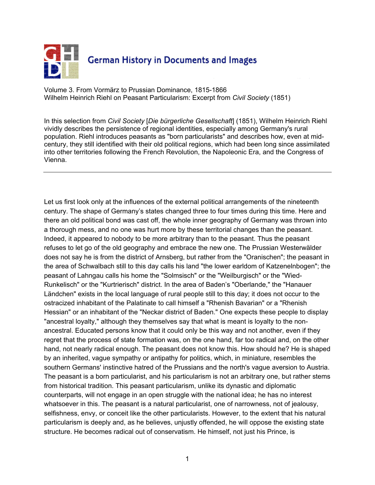

Volume 3. From Vormärz to Prussian Dominance, 1815-1866 Wilhelm Heinrich Riehl on Peasant Particularism: Excerpt from *Civil Society* (1851)

In this selection from *Civil Society* [*Die bürgerliche Gesellschaft*] (1851), Wilhelm Heinrich Riehl vividly describes the persistence of regional identities, especially among Germany's rural population. Riehl introduces peasants as "born particularists" and describes how, even at midcentury, they still identified with their old political regions, which had been long since assimilated into other territories following the French Revolution, the Napoleonic Era, and the Congress of Vienna.

Let us first look only at the influences of the external political arrangements of the nineteenth century. The shape of Germany's states changed three to four times during this time. Here and there an old political bond was cast off, the whole inner geography of Germany was thrown into a thorough mess, and no one was hurt more by these territorial changes than the peasant. Indeed, it appeared to nobody to be more arbitrary than to the peasant. Thus the peasant refuses to let go of the old geography and embrace the new one. The Prussian Westerwälder does not say he is from the district of Arnsberg, but rather from the "Oranischen"; the peasant in the area of Schwalbach still to this day calls his land "the lower earldom of Katzenelnbogen"; the peasant of Lahngau calls his home the "Solmsisch" or the "Weilburgisch" or the "Wied-Runkelisch" or the "Kurtrierisch" district. In the area of Baden's "Oberlande," the "Hanauer Ländchen" exists in the local language of rural people still to this day; it does not occur to the ostracized inhabitant of the Palatinate to call himself a "Rhenish Bavarian" or a "Rhenish Hessian" or an inhabitant of the "Neckar district of Baden." One expects these people to display "ancestral loyalty," although they themselves say that what is meant is loyalty to the nonancestral. Educated persons know that it could only be this way and not another, even if they regret that the process of state formation was, on the one hand, far too radical and, on the other hand, not nearly radical enough. The peasant does not know this. How should he? He is shaped by an inherited, vague sympathy or antipathy for politics, which, in miniature, resembles the southern Germans' instinctive hatred of the Prussians and the north's vague aversion to Austria. The peasant is a born particularist, and his particularism is not an arbitrary one, but rather stems from historical tradition. This peasant particularism, unlike its dynastic and diplomatic counterparts, will not engage in an open struggle with the national idea; he has no interest whatsoever in this. The peasant is a natural particularist, one of narrowness, not of jealousy, selfishness, envy, or conceit like the other particularists. However, to the extent that his natural particularism is deeply and, as he believes, unjustly offended, he will oppose the existing state structure. He becomes radical out of conservatism. He himself, not just his Prince, is